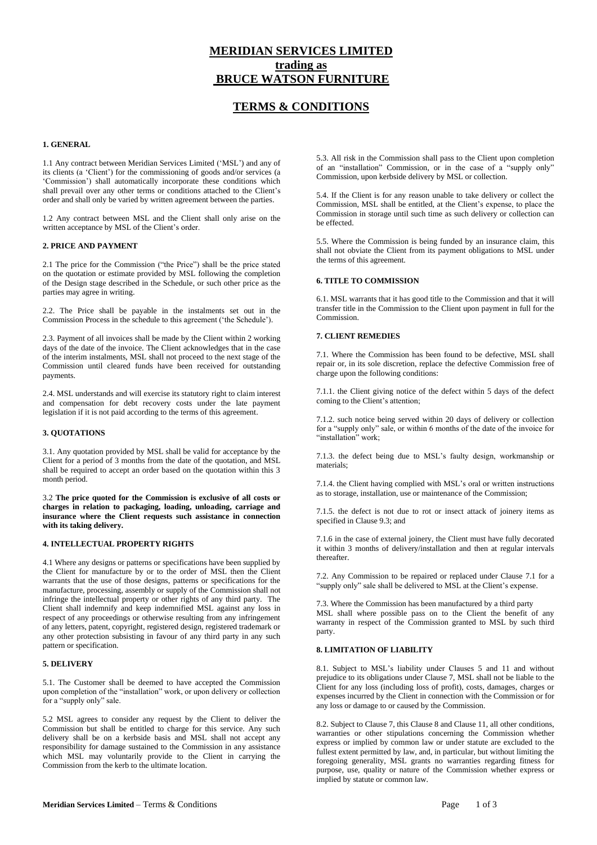# **MERIDIAN SERVICES LIMITED trading as BRUCE WATSON FURNITURE**

# **TERMS & CONDITIONS**

### **1. GENERAL**

1.1 Any contract between Meridian Services Limited ('MSL') and any of its clients (a 'Client') for the commissioning of goods and/or services (a 'Commission') shall automatically incorporate these conditions which shall prevail over any other terms or conditions attached to the Client's order and shall only be varied by written agreement between the parties.

1.2 Any contract between MSL and the Client shall only arise on the written acceptance by MSL of the Client's order.

#### **2. PRICE AND PAYMENT**

2.1 The price for the Commission ("the Price") shall be the price stated on the quotation or estimate provided by MSL following the completion of the Design stage described in the Schedule, or such other price as the parties may agree in writing.

2.2. The Price shall be payable in the instalments set out in the Commission Process in the schedule to this agreement ('the Schedule').

2.3. Payment of all invoices shall be made by the Client within 2 working days of the date of the invoice. The Client acknowledges that in the case of the interim instalments, MSL shall not proceed to the next stage of the Commission until cleared funds have been received for outstanding payments.

2.4. MSL understands and will exercise its statutory right to claim interest and compensation for debt recovery costs under the late payment legislation if it is not paid according to the terms of this agreement.

#### **3. QUOTATIONS**

3.1. Any quotation provided by MSL shall be valid for acceptance by the Client for a period of 3 months from the date of the quotation, and MSL shall be required to accept an order based on the quotation within this 3 month period.

3.2 **The price quoted for the Commission is exclusive of all costs or charges in relation to packaging, loading, unloading, carriage and insurance where the Client requests such assistance in connection with its taking delivery.**

#### **4. INTELLECTUAL PROPERTY RIGHTS**

4.1 Where any designs or patterns or specifications have been supplied by the Client for manufacture by or to the order of MSL then the Client warrants that the use of those designs, patterns or specifications for the manufacture, processing, assembly or supply of the Commission shall not infringe the intellectual property or other rights of any third party. The Client shall indemnify and keep indemnified MSL against any loss in respect of any proceedings or otherwise resulting from any infringement of any letters, patent, copyright, registered design, registered trademark or any other protection subsisting in favour of any third party in any such pattern or specification.

#### **5. DELIVERY**

5.1. The Customer shall be deemed to have accepted the Commission upon completion of the "installation" work, or upon delivery or collection for a "supply only" sale.

5.2 MSL agrees to consider any request by the Client to deliver the Commission but shall be entitled to charge for this service. Any such delivery shall be on a kerbside basis and MSL shall not accept any responsibility for damage sustained to the Commission in any assistance which MSL may voluntarily provide to the Client in carrying the Commission from the kerb to the ultimate location.

5.3. All risk in the Commission shall pass to the Client upon completion of an "installation" Commission, or in the case of a "supply only" Commission, upon kerbside delivery by MSL or collection.

5.4. If the Client is for any reason unable to take delivery or collect the Commission, MSL shall be entitled, at the Client's expense, to place the Commission in storage until such time as such delivery or collection can be effected.

5.5. Where the Commission is being funded by an insurance claim, this shall not obviate the Client from its payment obligations to MSL under the terms of this agreement.

## **6. TITLE TO COMMISSION**

6.1. MSL warrants that it has good title to the Commission and that it will transfer title in the Commission to the Client upon payment in full for the Commission.

## **7. CLIENT REMEDIES**

7.1. Where the Commission has been found to be defective, MSL shall repair or, in its sole discretion, replace the defective Commission free of charge upon the following conditions:

7.1.1. the Client giving notice of the defect within 5 days of the defect coming to the Client's attention;

7.1.2. such notice being served within 20 days of delivery or collection for a "supply only" sale, or within 6 months of the date of the invoice for "installation" work;

7.1.3. the defect being due to MSL's faulty design, workmanship or materials;

7.1.4. the Client having complied with MSL's oral or written instructions as to storage, installation, use or maintenance of the Commission;

7.1.5. the defect is not due to rot or insect attack of joinery items as specified in Clause 9.3; and

7.1.6 in the case of external joinery, the Client must have fully decorated it within 3 months of delivery/installation and then at regular intervals thereafter.

7.2. Any Commission to be repaired or replaced under Clause 7.1 for a "supply only" sale shall be delivered to MSL at the Client's expense.

7.3. Where the Commission has been manufactured by a third party MSL shall where possible pass on to the Client the benefit of any warranty in respect of the Commission granted to MSL by such third party.

#### **8. LIMITATION OF LIABILITY**

8.1. Subject to MSL's liability under Clauses 5 and 11 and without prejudice to its obligations under Clause 7, MSL shall not be liable to the Client for any loss (including loss of profit), costs, damages, charges or expenses incurred by the Client in connection with the Commission or for any loss or damage to or caused by the Commission.

8.2. Subject to Clause 7, this Clause 8 and Clause 11, all other conditions, warranties or other stipulations concerning the Commission whether express or implied by common law or under statute are excluded to the fullest extent permitted by law, and, in particular, but without limiting the foregoing generality, MSL grants no warranties regarding fitness for purpose, use, quality or nature of the Commission whether express or implied by statute or common law.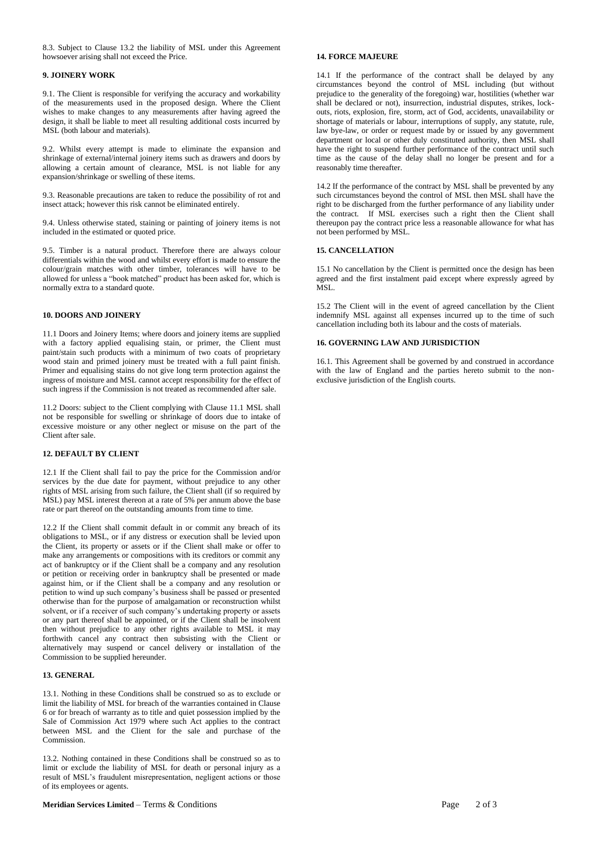8.3. Subject to Clause 13.2 the liability of MSL under this Agreement howsoever arising shall not exceed the Price.

#### **9. JOINERY WORK**

9.1. The Client is responsible for verifying the accuracy and workability of the measurements used in the proposed design. Where the Client wishes to make changes to any measurements after having agreed the design, it shall be liable to meet all resulting additional costs incurred by MSL (both labour and materials).

9.2. Whilst every attempt is made to eliminate the expansion and shrinkage of external/internal joinery items such as drawers and doors by allowing a certain amount of clearance, MSL is not liable for any expansion/shrinkage or swelling of these items.

9.3. Reasonable precautions are taken to reduce the possibility of rot and insect attack; however this risk cannot be eliminated entirely.

9.4. Unless otherwise stated, staining or painting of joinery items is not included in the estimated or quoted price.

9.5. Timber is a natural product. Therefore there are always colour differentials within the wood and whilst every effort is made to ensure the colour/grain matches with other timber, tolerances will have to be allowed for unless a "book matched" product has been asked for, which is normally extra to a standard quote.

#### **10. DOORS AND JOINERY**

11.1 Doors and Joinery Items; where doors and joinery items are supplied with a factory applied equalising stain, or primer, the Client must paint/stain such products with a minimum of two coats of proprietary wood stain and primed joinery must be treated with a full paint finish. Primer and equalising stains do not give long term protection against the ingress of moisture and MSL cannot accept responsibility for the effect of such ingress if the Commission is not treated as recommended after sale.

11.2 Doors: subject to the Client complying with Clause 11.1 MSL shall not be responsible for swelling or shrinkage of doors due to intake of excessive moisture or any other neglect or misuse on the part of the Client after sale.

#### **12. DEFAULT BY CLIENT**

12.1 If the Client shall fail to pay the price for the Commission and/or services by the due date for payment, without prejudice to any other rights of MSL arising from such failure, the Client shall (if so required by MSL) pay MSL interest thereon at a rate of 5% per annum above the base rate or part thereof on the outstanding amounts from time to time.

12.2 If the Client shall commit default in or commit any breach of its obligations to MSL, or if any distress or execution shall be levied upon the Client, its property or assets or if the Client shall make or offer to make any arrangements or compositions with its creditors or commit any act of bankruptcy or if the Client shall be a company and any resolution or petition or receiving order in bankruptcy shall be presented or made against him, or if the Client shall be a company and any resolution or petition to wind up such company's business shall be passed or presented otherwise than for the purpose of amalgamation or reconstruction whilst solvent, or if a receiver of such company's undertaking property or assets or any part thereof shall be appointed, or if the Client shall be insolvent then without prejudice to any other rights available to MSL it may forthwith cancel any contract then subsisting with the Client or alternatively may suspend or cancel delivery or installation of the Commission to be supplied hereunder.

#### **13. GENERAL**

13.1. Nothing in these Conditions shall be construed so as to exclude or limit the liability of MSL for breach of the warranties contained in Clause 6 or for breach of warranty as to title and quiet possession implied by the Sale of Commission Act 1979 where such Act applies to the contract between MSL and the Client for the sale and purchase of the Commission.

13.2. Nothing contained in these Conditions shall be construed so as to limit or exclude the liability of MSL for death or personal injury as a result of MSL's fraudulent misrepresentation, negligent actions or those of its employees or agents.

## **14. FORCE MAJEURE**

14.1 If the performance of the contract shall be delayed by any circumstances beyond the control of MSL including (but without prejudice to the generality of the foregoing) war, hostilities (whether war shall be declared or not), insurrection, industrial disputes, strikes, lockouts, riots, explosion, fire, storm, act of God, accidents, unavailability or shortage of materials or labour, interruptions of supply, any statute, rule, law bye-law, or order or request made by or issued by any government department or local or other duly constituted authority, then MSL shall have the right to suspend further performance of the contract until such time as the cause of the delay shall no longer be present and for a reasonably time thereafter.

14.2 If the performance of the contract by MSL shall be prevented by any such circumstances beyond the control of MSL then MSL shall have the right to be discharged from the further performance of any liability under the contract. If MSL exercises such a right then the Client shall thereupon pay the contract price less a reasonable allowance for what has not been performed by MSL.

#### **15. CANCELLATION**

15.1 No cancellation by the Client is permitted once the design has been agreed and the first instalment paid except where expressly agreed by MSL.

15.2 The Client will in the event of agreed cancellation by the Client indemnify MSL against all expenses incurred up to the time of such cancellation including both its labour and the costs of materials.

#### **16. GOVERNING LAW AND JURISDICTION**

16.1. This Agreement shall be governed by and construed in accordance with the law of England and the parties hereto submit to the nonexclusive jurisdiction of the English courts.